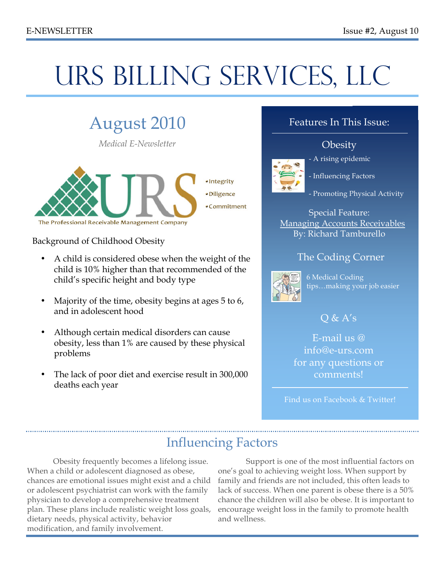# URS BILLING SERVICES, LLC

# August 2010

*Medical E-Newsletter*



Background of Childhood Obesity

- A child is considered obese when the weight of the child is 10% higher than that recommended of the child's specific height and body type
- Majority of the time, obesity begins at ages 5 to 6, and in adolescent hood
- Although certain medical disorders can cause obesity, less than 1% are caused by these physical problems
- The lack of poor diet and exercise result in 300,000 deaths each year

#### Features In This Issue:

#### **Obesity**



- A rising epidemic
- Influencing Factors
- Promoting Physical Activity

Special Feature: Managing Accounts Receivables By: Richard Tamburello

#### The Coding Corner



6 Medical Coding tips…making your job easier

#### $O & A's$

E-mail us @ info@e-urs.com for any questions or comments!

Find us on Facebook & Twitter!

### Influencing Factors

Obesity frequently becomes a lifelong issue. When a child or adolescent diagnosed as obese, chances are emotional issues might exist and a child or adolescent psychiatrist can work with the family physician to develop a comprehensive treatment plan. These plans include realistic weight loss goals, dietary needs, physical activity, behavior modification, and family involvement.

 Support is one of the most influential factors on one's goal to achieving weight loss. When support by family and friends are not included, this often leads to lack of success. When one parent is obese there is a 50% chance the children will also be obese. It is important to encourage weight loss in the family to promote health and wellness.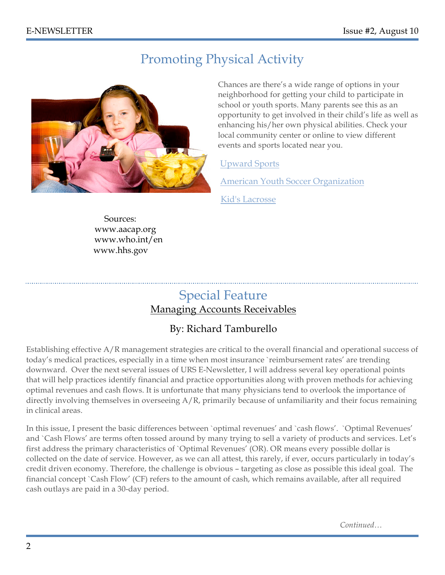### Promoting Physical Activity



Chances are there's a wide range of options in your neighborhood for getting your child to participate in school or youth sports. Many parents see this as an opportunity to get involved in their child's life as well as enhancing his/her own physical abilities. Check your local community center or online to view different events and sports located near you.

#### Upward Sports

American Youth Soccer Organization

Kid's Lacrosse

 Sources: www.aacap.org www.who.int/en www.hhs.gov

### Special Feature

#### Managing Accounts Receivables

#### By: Richard Tamburello

Establishing effective A/R management strategies are critical to the overall financial and operational success of today's medical practices, especially in a time when most insurance `reimbursement rates' are trending downward. Over the next several issues of URS E-Newsletter, I will address several key operational points that will help practices identify financial and practice opportunities along with proven methods for achieving optimal revenues and cash flows. It is unfortunate that many physicians tend to overlook the importance of directly involving themselves in overseeing A/R, primarily because of unfamiliarity and their focus remaining in clinical areas.

In this issue, I present the basic differences between `optimal revenues' and `cash flows'. `Optimal Revenues' and `Cash Flows' are terms often tossed around by many trying to sell a variety of products and services. Let's first address the primary characteristics of `Optimal Revenues' (OR). OR means every possible dollar is collected on the date of service. However, as we can all attest, this rarely, if ever, occurs particularly in today's credit driven economy. Therefore, the challenge is obvious – targeting as close as possible this ideal goal. The financial concept `Cash Flow' (CF) refers to the amount of cash, which remains available, after all required cash outlays are paid in a 30-day period.

*Continued…*